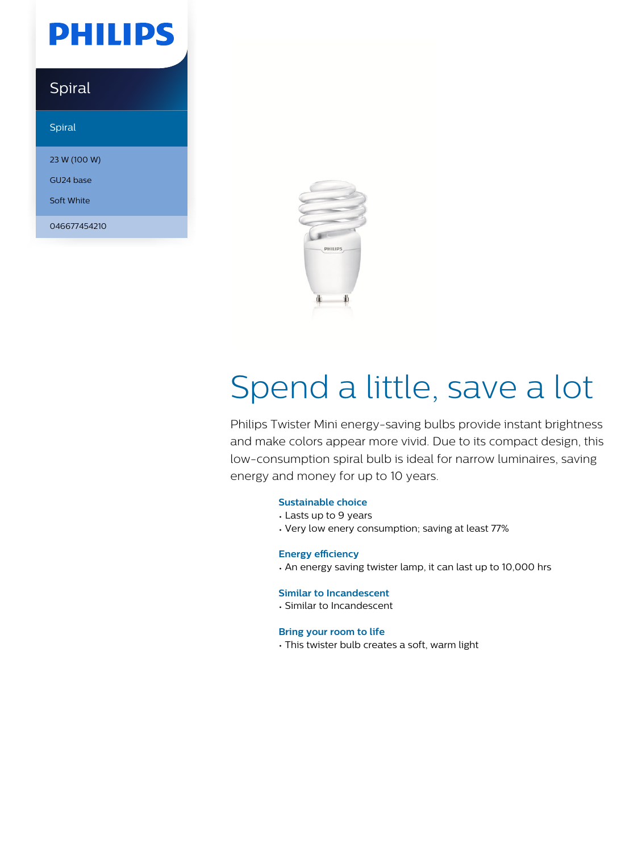# **PHILIPS**

### Spiral

Spiral

23 W (100 W)

GU24 base Soft White

046677454210



# Spend a little, save a lot

Philips Twister Mini energy-saving bulbs provide instant brightness and make colors appear more vivid. Due to its compact design, this low-consumption spiral bulb is ideal for narrow luminaires, saving energy and money for up to 10 years.

#### **Sustainable choice**

- Lasts up to 9 years
- Very low enery consumption; saving at least 77%

#### **Energy efficiency**

• An energy saving twister lamp, it can last up to 10,000 hrs

#### **Similar to Incandescent**

• Similar to Incandescent

#### **Bring your room to life**

• This twister bulb creates a soft, warm light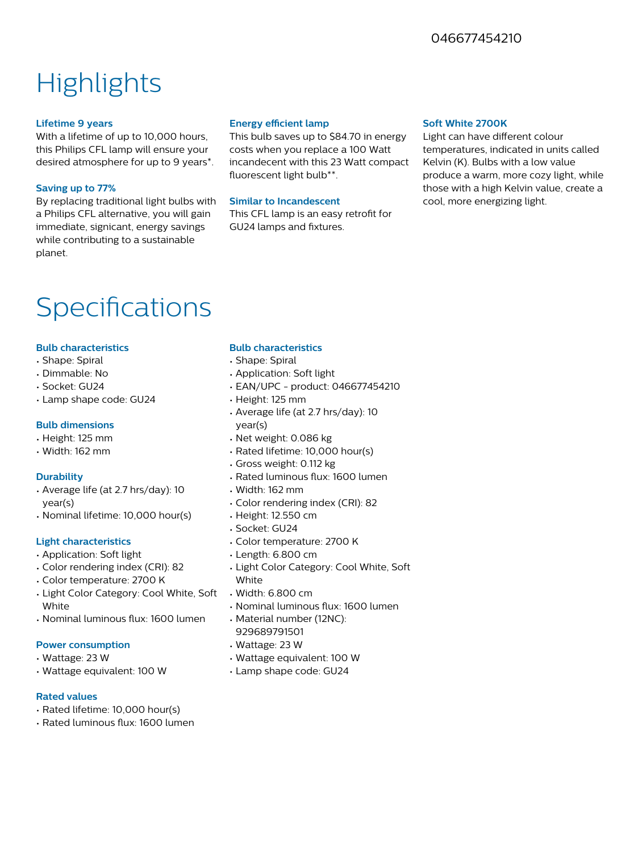### 046677454210

## **Highlights**

#### **Lifetime 9 years**

With a lifetime of up to 10,000 hours, this Philips CFL lamp will ensure your desired atmosphere for up to 9 years\*.

#### **Saving up to 77%**

By replacing traditional light bulbs with a Philips CFL alternative, you will gain immediate, signicant, energy savings while contributing to a sustainable planet.

#### **Energy efficient lamp**

This bulb saves up to \$84.70 in energy costs when you replace a 100 Watt incandecent with this 23 Watt compact fluorescent light bulb\*\*.

#### **Similar to Incandescent**

This CFL lamp is an easy retrofit for GU24 lamps and fixtures.

#### **Soft White 2700K**

Light can have different colour temperatures, indicated in units called Kelvin (K). Bulbs with a low value produce a warm, more cozy light, while those with a high Kelvin value, create a cool, more energizing light.

### Specifications

#### **Bulb characteristics**

- Shape: Spiral
- Dimmable: No
- Socket: GU24
- Lamp shape code: GU24

#### **Bulb dimensions**

- Height: 125 mm
- Width: 162 mm

#### **Durability**

- Average life (at 2.7 hrs/day): 10 year(s)
- Nominal lifetime: 10,000 hour(s)

#### **Light characteristics**

- Application: Soft light
- Color rendering index (CRI): 82
- Color temperature: 2700 K
- Light Color Category: Cool White, Soft **White**
- Nominal luminous flux: 1600 lumen

#### **Power consumption**

- Wattage: 23 W
- Wattage equivalent: 100 W

#### **Rated values**

- Rated lifetime: 10,000 hour(s)
- Rated luminous flux: 1600 lumen

#### **Bulb characteristics**

- Shape: Spiral
- Application: Soft light
- EAN/UPC product: 046677454210
- Height: 125 mm
- Average life (at 2.7 hrs/day): 10 year(s)
- Net weight: 0.086 kg
- Rated lifetime: 10,000 hour(s)
- Gross weight: 0.112 kg
- Rated luminous flux: 1600 lumen
- Width: 162 mm
- Color rendering index (CRI): 82
- Height: 12.550 cm
- Socket: GU24
- Color temperature: 2700 K
- Length: 6.800 cm
- Light Color Category: Cool White, Soft **White**
- Width: 6.800 cm
- Nominal luminous flux: 1600 lumen
- Material number (12NC): 929689791501
- Wattage: 23 W
- Wattage equivalent: 100 W
- Lamp shape code: GU24